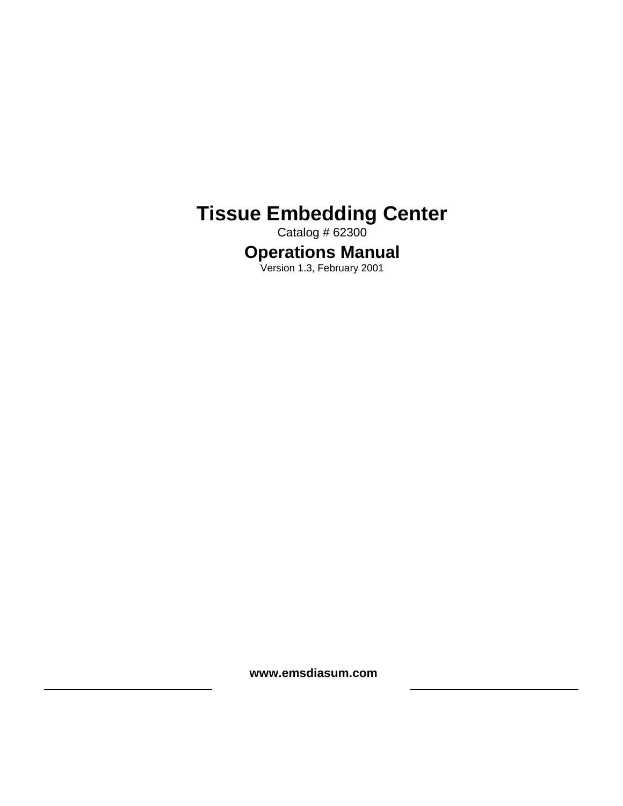# **Tissue Embedding Center**

Catalog # 62300

# **Operations Manual**

Version 1.3, February 2001

**www.emsdiasum.com**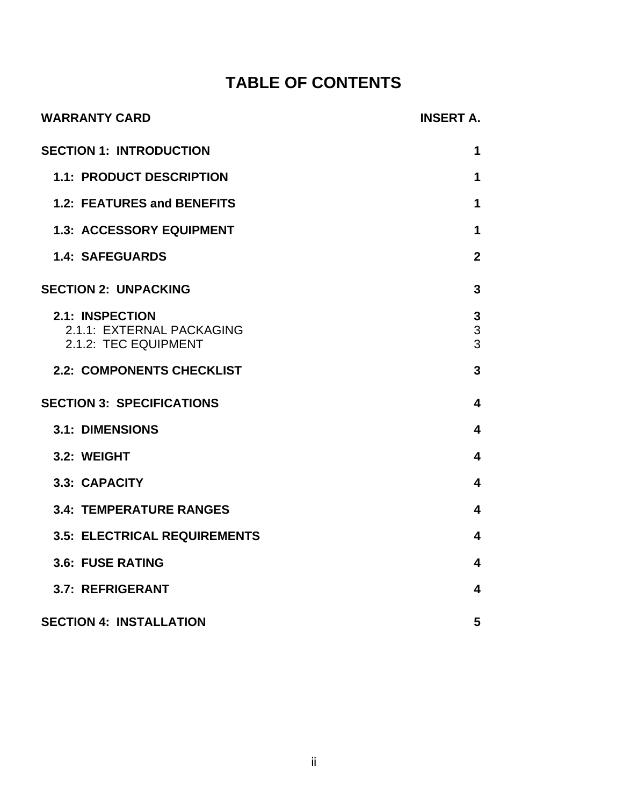# **TABLE OF CONTENTS**

| <b>WARRANTY CARD</b>                                                        | <b>INSERT A.</b>        |
|-----------------------------------------------------------------------------|-------------------------|
| <b>SECTION 1: INTRODUCTION</b>                                              | 1                       |
| <b>1.1: PRODUCT DESCRIPTION</b>                                             | 1                       |
| 1.2: FEATURES and BENEFITS                                                  | 1                       |
| <b>1.3: ACCESSORY EQUIPMENT</b>                                             | $\mathbf 1$             |
| <b>1.4: SAFEGUARDS</b>                                                      | $\mathbf{2}$            |
| <b>SECTION 2: UNPACKING</b>                                                 | $\overline{3}$          |
| <b>2.1: INSPECTION</b><br>2.1.1: EXTERNAL PACKAGING<br>2.1.2: TEC EQUIPMENT | 3<br>3<br>3             |
| <b>2.2: COMPONENTS CHECKLIST</b>                                            | $\overline{3}$          |
| <b>SECTION 3: SPECIFICATIONS</b>                                            | $\overline{\mathbf{4}}$ |
| <b>3.1: DIMENSIONS</b>                                                      | $\overline{\mathbf{4}}$ |
| 3.2: WEIGHT                                                                 | $\overline{\mathbf{4}}$ |
| 3.3: CAPACITY                                                               | $\overline{\mathbf{4}}$ |
| <b>3.4: TEMPERATURE RANGES</b>                                              | $\overline{\mathbf{4}}$ |
| <b>3.5: ELECTRICAL REQUIREMENTS</b>                                         | $\overline{\mathbf{4}}$ |
| 3.6: FUSE RATING                                                            | $\overline{\mathbf{4}}$ |
| 3.7: REFRIGERANT                                                            | 4                       |
| <b>SECTION 4: INSTALLATION</b>                                              | 5                       |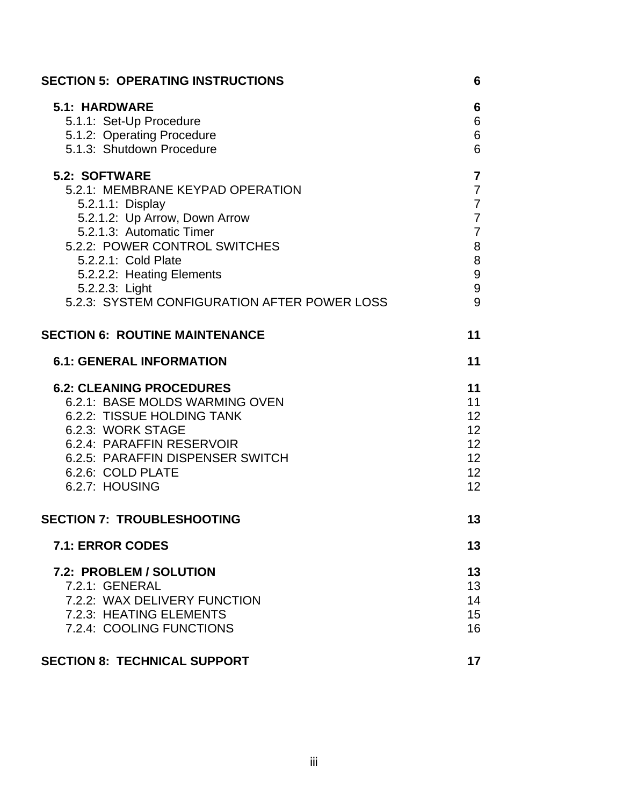| <b>SECTION 5: OPERATING INSTRUCTIONS</b>                                                                                                                                                                                                                                                         | 6                                                                                                                     |
|--------------------------------------------------------------------------------------------------------------------------------------------------------------------------------------------------------------------------------------------------------------------------------------------------|-----------------------------------------------------------------------------------------------------------------------|
| <b>5.1: HARDWARE</b><br>5.1.1: Set-Up Procedure<br>5.1.2: Operating Procedure<br>5.1.3: Shutdown Procedure                                                                                                                                                                                       | 6<br>6<br>$\,6$<br>6                                                                                                  |
| <b>5.2: SOFTWARE</b><br>5.2.1: MEMBRANE KEYPAD OPERATION<br>5.2.1.1: Display<br>5.2.1.2: Up Arrow, Down Arrow<br>5.2.1.3: Automatic Timer<br>5.2.2: POWER CONTROL SWITCHES<br>5.2.2.1: Cold Plate<br>5.2.2.2: Heating Elements<br>5.2.2.3: Light<br>5.2.3: SYSTEM CONFIGURATION AFTER POWER LOSS | $\overline{7}$<br>$\overline{7}$<br>$\overline{7}$<br>$\overline{7}$<br>$\overline{7}$<br>8<br>$\,8\,$<br>9<br>9<br>9 |
| <b>SECTION 6: ROUTINE MAINTENANCE</b>                                                                                                                                                                                                                                                            | 11                                                                                                                    |
| <b>6.1: GENERAL INFORMATION</b>                                                                                                                                                                                                                                                                  | 11                                                                                                                    |
| <b>6.2: CLEANING PROCEDURES</b><br>6.2.1: BASE MOLDS WARMING OVEN<br>6.2.2: TISSUE HOLDING TANK<br>6.2.3: WORK STAGE<br>6.2.4: PARAFFIN RESERVOIR<br>6.2.5: PARAFFIN DISPENSER SWITCH<br>6.2.6: COLD PLATE<br>6.2.7: HOUSING                                                                     | 11<br>11<br>12<br>12 <sup>2</sup><br>12 <sup>2</sup><br>12 <sup>2</sup><br>12 <sup>2</sup><br>12                      |
| <b>SECTION 7: TROUBLESHOOTING</b>                                                                                                                                                                                                                                                                | 13                                                                                                                    |
| 7.1: ERROR CODES                                                                                                                                                                                                                                                                                 | 13                                                                                                                    |
| 7.2: PROBLEM / SOLUTION<br>7.2.1: GENERAL<br>7.2.2: WAX DELIVERY FUNCTION<br>7.2.3: HEATING ELEMENTS<br>7.2.4: COOLING FUNCTIONS                                                                                                                                                                 | 13<br>13<br>14<br>15<br>16                                                                                            |
| <b>SECTION 8: TECHNICAL SUPPORT</b>                                                                                                                                                                                                                                                              | 17                                                                                                                    |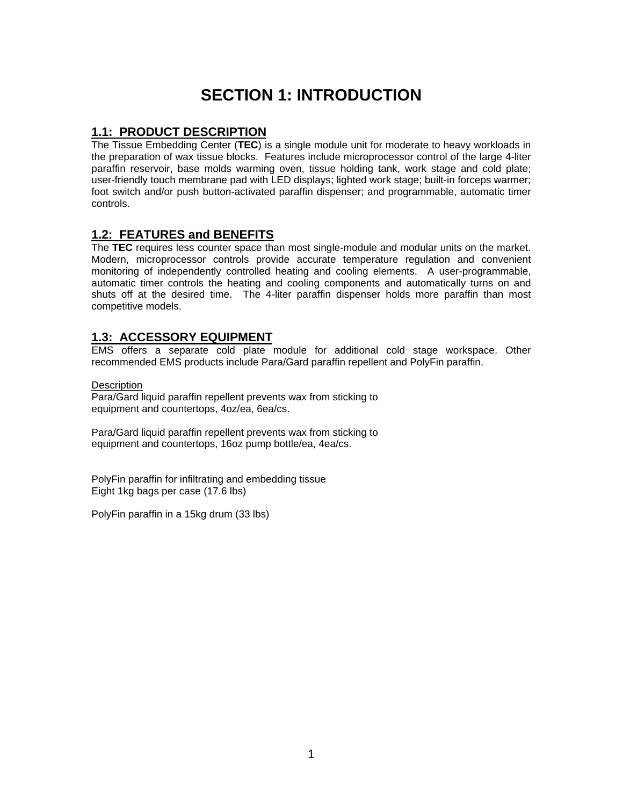# **SECTION 1: INTRODUCTION**

# <span id="page-3-0"></span>**1.1: PRODUCT DESCRIPTION**

The Tissue Embedding Center (**TEC**) is a single module unit for moderate to heavy workloads in the preparation of wax tissue blocks. Features include microprocessor control of the large 4-liter paraffin reservoir, base molds warming oven, tissue holding tank, work stage and cold plate; user-friendly touch membrane pad with LED displays; lighted work stage; built-in forceps warmer; foot switch and/or push button-activated paraffin dispenser; and programmable, automatic timer controls.

# **1.2: FEATURES and BENEFITS**

The **TEC** requires less counter space than most single-module and modular units on the market. Modern, microprocessor controls provide accurate temperature regulation and convenient monitoring of independently controlled heating and cooling elements. A user-programmable, automatic timer controls the heating and cooling components and automatically turns on and shuts off at the desired time. The 4-liter paraffin dispenser holds more paraffin than most competitive models.

## **1.3: ACCESSORY EQUIPMENT**

EMS offers a separate cold plate module for additional cold stage workspace. Other recommended EMS products include Para/Gard paraffin repellent and PolyFin paraffin.

#### **Description**

Para/Gard liquid paraffin repellent prevents wax from sticking to equipment and countertops, 4oz/ea, 6ea/cs.

Para/Gard liquid paraffin repellent prevents wax from sticking to equipment and countertops, 16oz pump bottle/ea, 4ea/cs.

PolyFin paraffin for infiltrating and embedding tissue Eight 1kg bags per case (17.6 lbs)

PolyFin paraffin in a 15kg drum (33 lbs)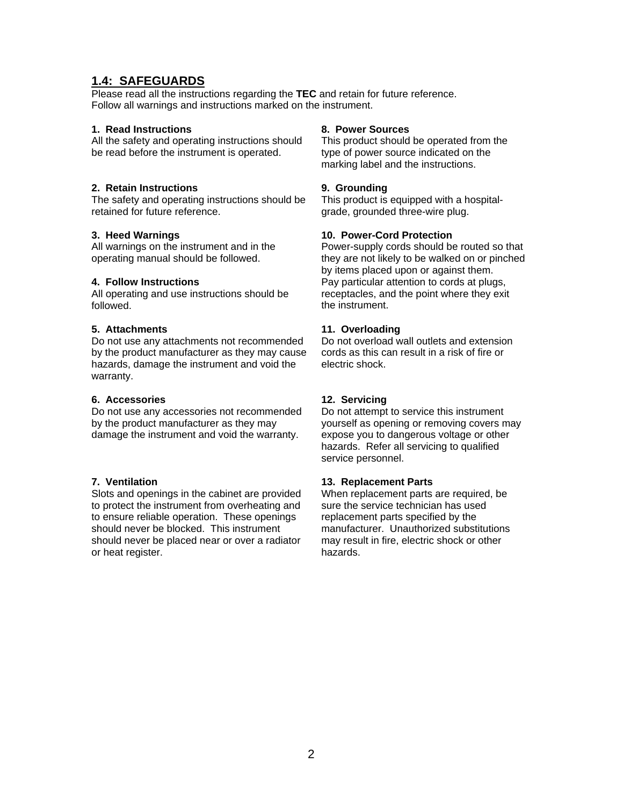# <span id="page-4-0"></span>**1.4: SAFEGUARDS**

Please read all the instructions regarding the **TEC** and retain for future reference. Follow all warnings and instructions marked on the instrument.

#### **1. Read Instructions**

All the safety and operating instructions should be read before the instrument is operated.

#### **2. Retain Instructions**

The safety and operating instructions should be retained for future reference.

#### **3. Heed Warnings**

All warnings on the instrument and in the operating manual should be followed.

#### **4. Follow Instructions**

All operating and use instructions should be followed.

#### **5. Attachments**

Do not use any attachments not recommended by the product manufacturer as they may cause hazards, damage the instrument and void the warranty.

#### **6. Accessories**

Do not use any accessories not recommended by the product manufacturer as they may damage the instrument and void the warranty.

#### **7. Ventilation**

Slots and openings in the cabinet are provided to protect the instrument from overheating and to ensure reliable operation. These openings should never be blocked. This instrument should never be placed near or over a radiator or heat register.

#### **8. Power Sources**

This product should be operated from the type of power source indicated on the marking label and the instructions.

#### **9. Grounding**

This product is equipped with a hospitalgrade, grounded three-wire plug.

#### **10. Power-Cord Protection**

Power-supply cords should be routed so that they are not likely to be walked on or pinched by items placed upon or against them. Pay particular attention to cords at plugs, receptacles, and the point where they exit the instrument.

#### **11. Overloading**

Do not overload wall outlets and extension cords as this can result in a risk of fire or electric shock.

#### **12. Servicing**

Do not attempt to service this instrument yourself as opening or removing covers may expose you to dangerous voltage or other hazards. Refer all servicing to qualified service personnel.

#### **13. Replacement Parts**

When replacement parts are required, be sure the service technician has used replacement parts specified by the manufacturer. Unauthorized substitutions may result in fire, electric shock or other hazards.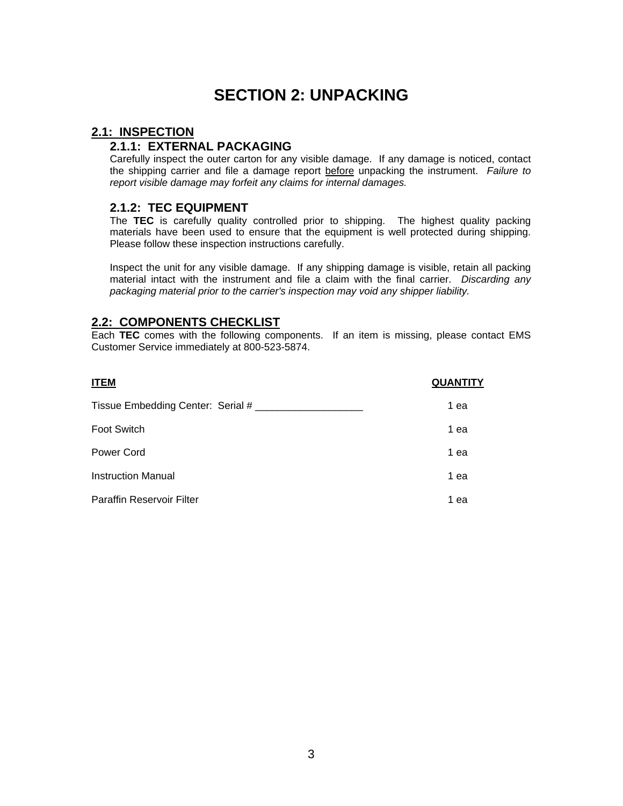# **SECTION 2: UNPACKING**

## <span id="page-5-0"></span>**2.1: INSPECTION**

# **2.1.1: EXTERNAL PACKAGING**

Carefully inspect the outer carton for any visible damage. If any damage is noticed, contact the shipping carrier and file a damage report before unpacking the instrument. *Failure to report visible damage may forfeit any claims for internal damages.* 

## **2.1.2: TEC EQUIPMENT**

The **TEC** is carefully quality controlled prior to shipping. The highest quality packing materials have been used to ensure that the equipment is well protected during shipping. Please follow these inspection instructions carefully.

Inspect the unit for any visible damage. If any shipping damage is visible, retain all packing material intact with the instrument and file a claim with the final carrier. *Discarding any packaging material prior to the carrier's inspection may void any shipper liability.* 

## **2.2: COMPONENTS CHECKLIST**

Each **TEC** comes with the following components. If an item is missing, please contact EMS Customer Service immediately at 800-523-5874.

| <b>ITEM</b>                       | <b>QUANTITY</b> |
|-----------------------------------|-----------------|
| Tissue Embedding Center: Serial # | 1 ea            |
| <b>Foot Switch</b>                | 1 ea            |
| Power Cord                        | 1 ea            |
| <b>Instruction Manual</b>         | 1 ea            |
| <b>Paraffin Reservoir Filter</b>  | 1 ea            |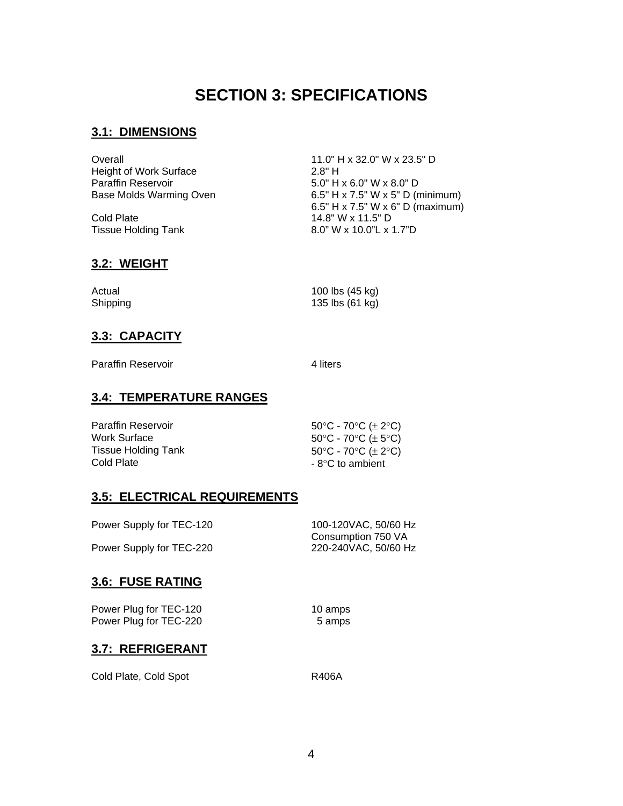# **SECTION 3: SPECIFICATIONS**

# <span id="page-6-0"></span>**3.1: DIMENSIONS**

Overall 11.0" H x 32.0" W x 23.5" D Height of Work Surface 2.8" H Paraffin Reservoir 5.0" H x 6.0" W x 8.0" D<br>Base Molds Warming Oven 6.5" H x 7.5" W x 5" D (r

Cold Plate 14.8" W x 11.5" D<br>Tissue Holding Tank 16.0" W x 10.0"L x

 $6.5"$  H x 7.5" W x 5" D (minimum) 6.5" H x 7.5" W x 6" D (maximum) 8.0" W x 10.0"L x 1.7"D

# **3.2: WEIGHT**

| Actual   | 100 lbs (45 kg) |
|----------|-----------------|
| Shipping | 135 lbs (61 kg) |

# **3.3: CAPACITY**

Paraffin Reservoir 4 liters

# **3.4: TEMPERATURE RANGES**

| <b>Paraffin Reservoir</b> | 50°C - 70°C ( $\pm$ 2°C) |
|---------------------------|--------------------------|
| Work Surface              | 50°C - 70°C ( $\pm$ 5°C) |
| Tissue Holding Tank       | 50°C - 70°C ( $\pm$ 2°C) |
| Cold Plate                | $-8$ °C to ambient       |

# **3.5: ELECTRICAL REQUIREMENTS**

| Power Supply for TEC-120 | 100-120VAC, 50/60 Hz |
|--------------------------|----------------------|
|                          | Consumption 750 VA   |
| Power Supply for TEC-220 | 220-240VAC, 50/60 Hz |

# **3.6: FUSE RATING**

Power Plug for TEC-120 Power Plug for TEC-220

10 amps 5 amps

# **3.7: REFRIGERANT**

Cold Plate, Cold Spot **R406A**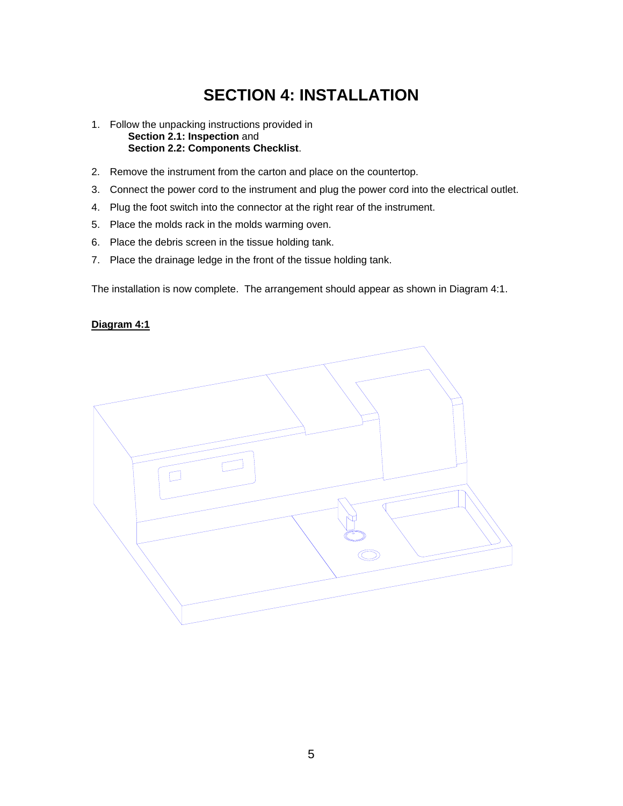# **SECTION 4: INSTALLATION**

- <span id="page-7-0"></span>1. Follow the unpacking instructions provided in **Section 2.1: Inspection** and **Section 2.2: Components Checklist**.
- 2. Remove the instrument from the carton and place on the countertop.
- 3. Connect the power cord to the instrument and plug the power cord into the electrical outlet.
- 4. Plug the foot switch into the connector at the right rear of the instrument.
- 5. Place the molds rack in the molds warming oven.
- 6. Place the debris screen in the tissue holding tank.
- 7. Place the drainage ledge in the front of the tissue holding tank.

The installation is now complete. The arrangement should appear as shown in Diagram 4:1.

#### **Diagram 4:1**

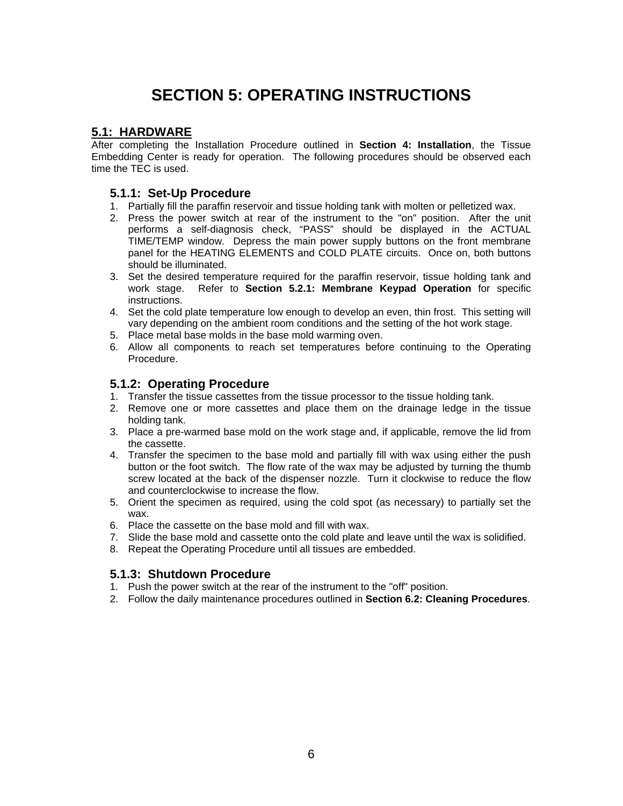# **SECTION 5: OPERATING INSTRUCTIONS**

## <span id="page-8-0"></span>**5.1: HARDWARE**

After completing the Installation Procedure outlined in **Section 4: Installation**, the Tissue Embedding Center is ready for operation. The following procedures should be observed each time the TEC is used.

## **5.1.1: Set-Up Procedure**

- 1. Partially fill the paraffin reservoir and tissue holding tank with molten or pelletized wax.
- 2. Press the power switch at rear of the instrument to the "on" position. After the unit performs a self-diagnosis check, "PASS" should be displayed in the ACTUAL TIME/TEMP window. Depress the main power supply buttons on the front membrane panel for the HEATING ELEMENTS and COLD PLATE circuits. Once on, both buttons should be illuminated.
- 3. Set the desired temperature required for the paraffin reservoir, tissue holding tank and work stage. Refer to **Section 5.2.1: Membrane Keypad Operation** for specific instructions.
- 4. Set the cold plate temperature low enough to develop an even, thin frost. This setting will vary depending on the ambient room conditions and the setting of the hot work stage.
- 5. Place metal base molds in the base mold warming oven.
- 6. Allow all components to reach set temperatures before continuing to the Operating Procedure.

#### **5.1.2: Operating Procedure**

- 1. Transfer the tissue cassettes from the tissue processor to the tissue holding tank.
- 2. Remove one or more cassettes and place them on the drainage ledge in the tissue holding tank.
- 3. Place a pre-warmed base mold on the work stage and, if applicable, remove the lid from the cassette.
- 4. Transfer the specimen to the base mold and partially fill with wax using either the push button or the foot switch. The flow rate of the wax may be adjusted by turning the thumb screw located at the back of the dispenser nozzle. Turn it clockwise to reduce the flow and counterclockwise to increase the flow.
- 5. Orient the specimen as required, using the cold spot (as necessary) to partially set the wax.
- 6. Place the cassette on the base mold and fill with wax.
- 7. Slide the base mold and cassette onto the cold plate and leave until the wax is solidified.
- 8. Repeat the Operating Procedure until all tissues are embedded.

#### **5.1.3: Shutdown Procedure**

- 1. Push the power switch at the rear of the instrument to the "off" position.
- 2. Follow the daily maintenance procedures outlined in **Section 6.2: Cleaning Procedures**.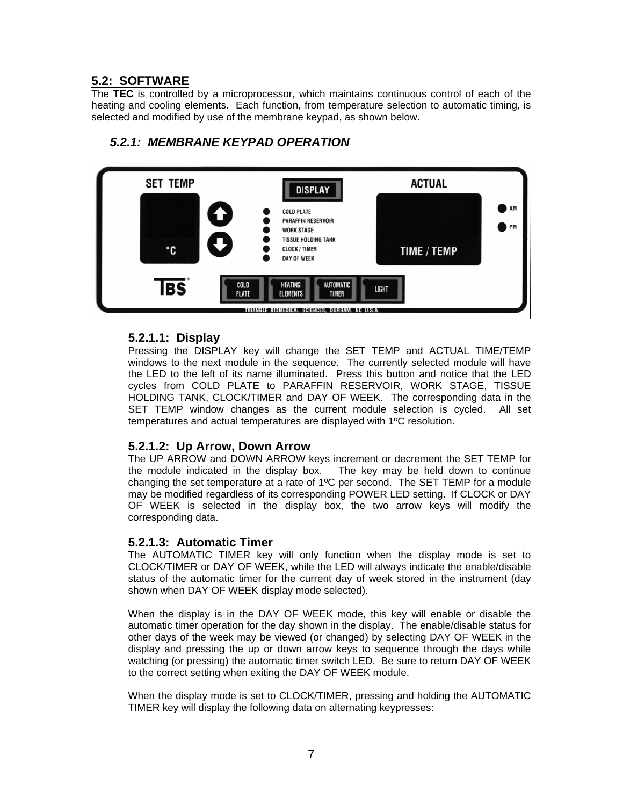# <span id="page-9-0"></span>**5.2: SOFTWARE**

The **TEC** is controlled by a microprocessor, which maintains continuous control of each of the heating and cooling elements. Each function, from temperature selection to automatic timing, is selected and modified by use of the membrane keypad, as shown below.



# *5.2.1: MEMBRANE KEYPAD OPERATION*

## **5.2.1.1: Display**

Pressing the DISPLAY key will change the SET TEMP and ACTUAL TIME/TEMP windows to the next module in the sequence. The currently selected module will have the LED to the left of its name illuminated. Press this button and notice that the LED cycles from COLD PLATE to PARAFFIN RESERVOIR, WORK STAGE, TISSUE HOLDING TANK, CLOCK/TIMER and DAY OF WEEK. The corresponding data in the SET TEMP window changes as the current module selection is cycled. All set temperatures and actual temperatures are displayed with 1ºC resolution.

## **5.2.1.2: Up Arrow, Down Arrow**

The UP ARROW and DOWN ARROW keys increment or decrement the SET TEMP for the module indicated in the display box. The key may be held down to continue changing the set temperature at a rate of 1ºC per second. The SET TEMP for a module may be modified regardless of its corresponding POWER LED setting. If CLOCK or DAY OF WEEK is selected in the display box, the two arrow keys will modify the corresponding data.

## **5.2.1.3: Automatic Timer**

The AUTOMATIC TIMER key will only function when the display mode is set to CLOCK/TIMER or DAY OF WEEK, while the LED will always indicate the enable/disable status of the automatic timer for the current day of week stored in the instrument (day shown when DAY OF WEEK display mode selected).

When the display is in the DAY OF WEEK mode, this key will enable or disable the automatic timer operation for the day shown in the display. The enable/disable status for other days of the week may be viewed (or changed) by selecting DAY OF WEEK in the display and pressing the up or down arrow keys to sequence through the days while watching (or pressing) the automatic timer switch LED. Be sure to return DAY OF WEEK to the correct setting when exiting the DAY OF WEEK module.

When the display mode is set to CLOCK/TIMER, pressing and holding the AUTOMATIC TIMER key will display the following data on alternating keypresses: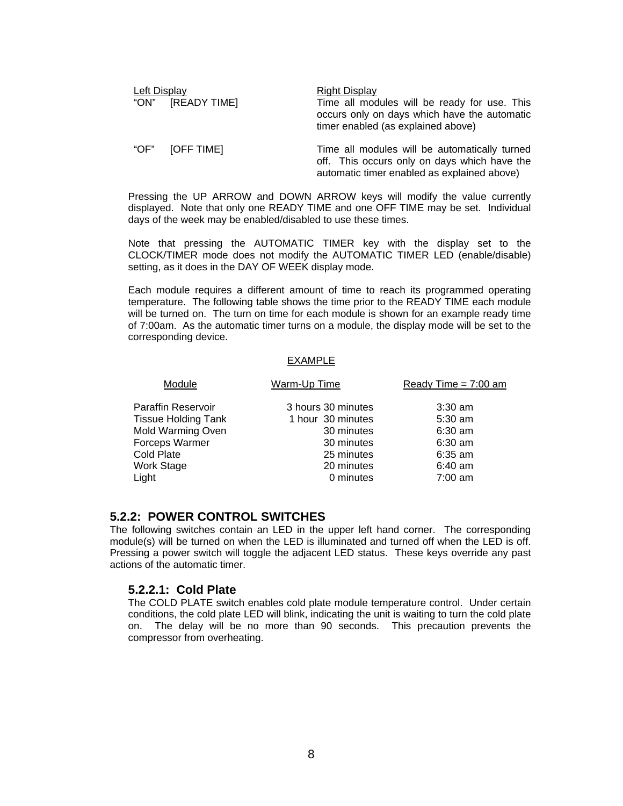<span id="page-10-0"></span>

| Left Display |                   | <b>Right Display</b>                                                                                                                         |  |
|--------------|-------------------|----------------------------------------------------------------------------------------------------------------------------------------------|--|
|              | "ON" [READY TIME] | Time all modules will be ready for use. This<br>occurs only on days which have the automatic<br>timer enabled (as explained above)           |  |
| "OF"         | [OFF TIME]        | Time all modules will be automatically turned<br>off. This occurs only on days which have the<br>automatic timer enabled as explained above) |  |

Pressing the UP ARROW and DOWN ARROW keys will modify the value currently displayed. Note that only one READY TIME and one OFF TIME may be set. Individual days of the week may be enabled/disabled to use these times.

Note that pressing the AUTOMATIC TIMER key with the display set to the CLOCK/TIMER mode does not modify the AUTOMATIC TIMER LED (enable/disable) setting, as it does in the DAY OF WEEK display mode.

Each module requires a different amount of time to reach its programmed operating temperature. The following table shows the time prior to the READY TIME each module will be turned on. The turn on time for each module is shown for an example ready time of 7:00am. As the automatic timer turns on a module, the display mode will be set to the corresponding device.

#### EXAMPLE

| Module                     | Warm-Up Time       | Ready Time = $7:00$ am |
|----------------------------|--------------------|------------------------|
| <b>Paraffin Reservoir</b>  | 3 hours 30 minutes | $3:30$ am              |
| <b>Tissue Holding Tank</b> | 1 hour 30 minutes  | $5:30$ am              |
| Mold Warming Oven          | 30 minutes         | $6:30$ am              |
| Forceps Warmer             | 30 minutes         | $6:30$ am              |
| Cold Plate                 | 25 minutes         | $6:35$ am              |
| <b>Work Stage</b>          | 20 minutes         | $6:40$ am              |
| Light                      | 0 minutes          | $7:00$ am              |

#### **5.2.2: POWER CONTROL SWITCHES**

The following switches contain an LED in the upper left hand corner. The corresponding module(s) will be turned on when the LED is illuminated and turned off when the LED is off. Pressing a power switch will toggle the adjacent LED status. These keys override any past actions of the automatic timer.

#### **5.2.2.1: Cold Plate**

The COLD PLATE switch enables cold plate module temperature control. Under certain conditions, the cold plate LED will blink, indicating the unit is waiting to turn the cold plate on. The delay will be no more than 90 seconds. This precaution prevents the compressor from overheating.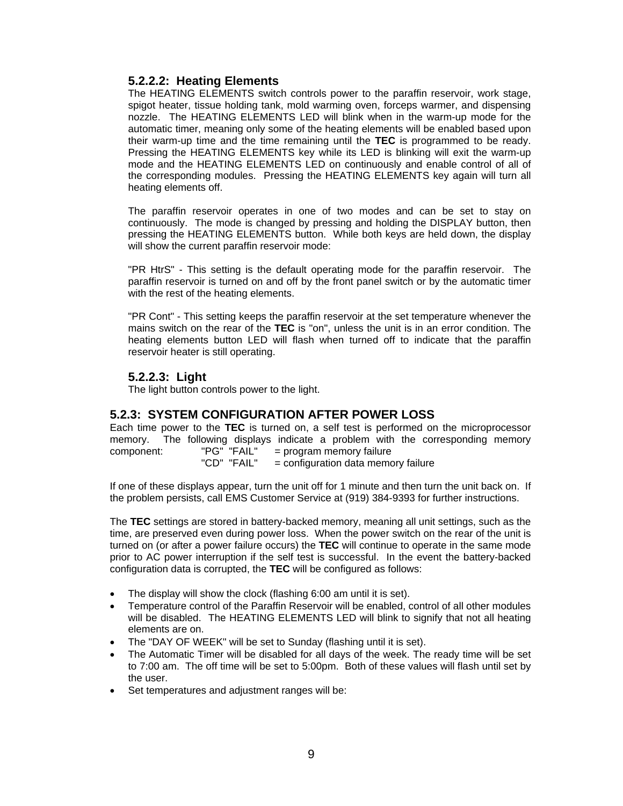## <span id="page-11-0"></span>**5.2.2.2: Heating Elements**

The HEATING ELEMENTS switch controls power to the paraffin reservoir, work stage, spigot heater, tissue holding tank, mold warming oven, forceps warmer, and dispensing nozzle. The HEATING ELEMENTS LED will blink when in the warm-up mode for the automatic timer, meaning only some of the heating elements will be enabled based upon their warm-up time and the time remaining until the **TEC** is programmed to be ready. Pressing the HEATING ELEMENTS key while its LED is blinking will exit the warm-up mode and the HEATING ELEMENTS LED on continuously and enable control of all of the corresponding modules. Pressing the HEATING ELEMENTS key again will turn all heating elements off.

The paraffin reservoir operates in one of two modes and can be set to stay on continuously. The mode is changed by pressing and holding the DISPLAY button, then pressing the HEATING ELEMENTS button. While both keys are held down, the display will show the current paraffin reservoir mode:

"PR HtrS" - This setting is the default operating mode for the paraffin reservoir. The paraffin reservoir is turned on and off by the front panel switch or by the automatic timer with the rest of the heating elements.

"PR Cont" - This setting keeps the paraffin reservoir at the set temperature whenever the mains switch on the rear of the **TEC** is "on", unless the unit is in an error condition. The heating elements button LED will flash when turned off to indicate that the paraffin reservoir heater is still operating.

## **5.2.2.3: Light**

The light button controls power to the light.

# **5.2.3: SYSTEM CONFIGURATION AFTER POWER LOSS**

Each time power to the **TEC** is turned on, a self test is performed on the microprocessor memory. The following displays indicate a problem with the corresponding memory component:  $"P G" "F AIL" = program memory failure$ component: "PG" "FAIL" = program memory failure

"CD" "FAIL" = configuration data memory failure

If one of these displays appear, turn the unit off for 1 minute and then turn the unit back on. If the problem persists, call EMS Customer Service at (919) 384-9393 for further instructions.

The **TEC** settings are stored in battery-backed memory, meaning all unit settings, such as the time, are preserved even during power loss. When the power switch on the rear of the unit is turned on (or after a power failure occurs) the **TEC** will continue to operate in the same mode prior to AC power interruption if the self test is successful. In the event the battery-backed configuration data is corrupted, the **TEC** will be configured as follows:

- The display will show the clock (flashing 6:00 am until it is set).
- Temperature control of the Paraffin Reservoir will be enabled, control of all other modules will be disabled. The HEATING ELEMENTS LED will blink to signify that not all heating elements are on.
- The "DAY OF WEEK" will be set to Sunday (flashing until it is set).
- The Automatic Timer will be disabled for all days of the week. The ready time will be set to 7:00 am. The off time will be set to 5:00pm. Both of these values will flash until set by the user.
- Set temperatures and adjustment ranges will be: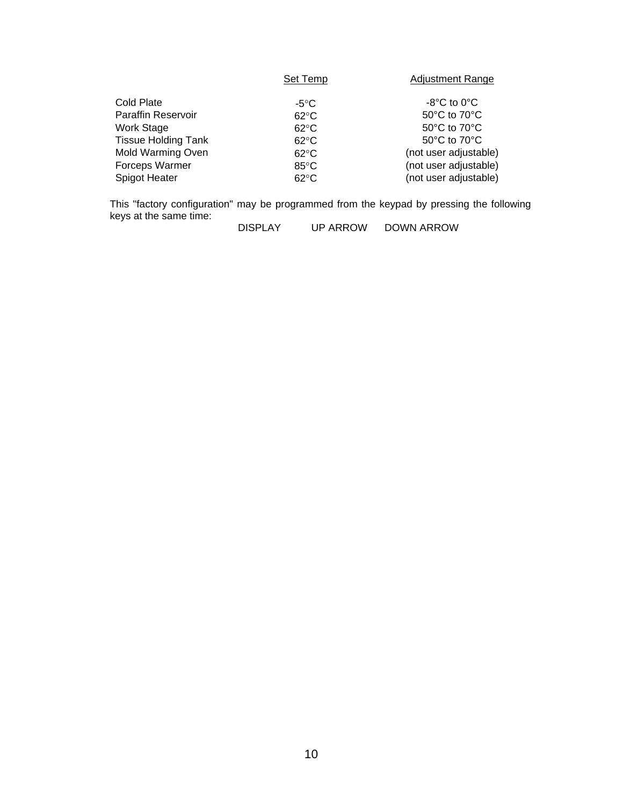|                            | Set Temp       | <b>Adjustment Range</b>          |
|----------------------------|----------------|----------------------------------|
| Cold Plate                 | $-5^{\circ}$ C | $-8^{\circ}$ C to 0 $^{\circ}$ C |
| <b>Paraffin Reservoir</b>  | $62^{\circ}$ C | 50°C to 70°C                     |
| Work Stage                 | $62^{\circ}$ C | 50°C to 70°C                     |
| <b>Tissue Holding Tank</b> | $62^{\circ}$ C | 50°C to 70°C                     |
| Mold Warming Oven          | $62^{\circ}$ C | (not user adjustable)            |
| Forceps Warmer             | $85^{\circ}$ C | (not user adjustable)            |
| Spigot Heater              | $62^{\circ}$ C | (not user adjustable)            |

This "factory configuration" may be programmed from the keypad by pressing the following keys at the same time:

DISPLAY UP ARROW DOWN ARROW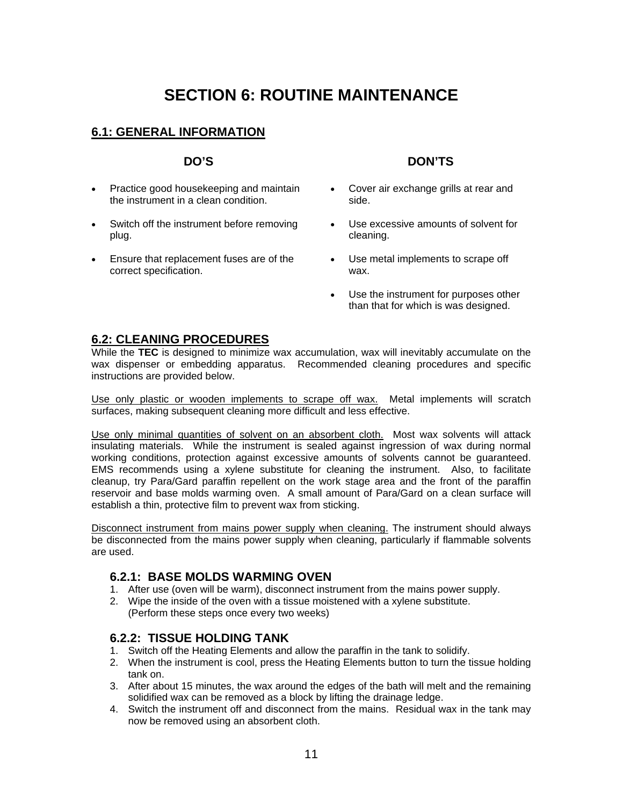# **SECTION 6: ROUTINE MAINTENANCE**

# <span id="page-13-0"></span>**6.1: GENERAL INFORMATION**

- Practice good housekeeping and maintain the instrument in a clean condition.
- Switch off the instrument before removing plug.
- Ensure that replacement fuses are of the correct specification.

#### **DO'S DON'TS**

- Cover air exchange grills at rear and side.
- Use excessive amounts of solvent for cleaning.
- Use metal implements to scrape off wax.
- Use the instrument for purposes other than that for which is was designed.

## **6.2: CLEANING PROCEDURES**

While the **TEC** is designed to minimize wax accumulation, wax will inevitably accumulate on the wax dispenser or embedding apparatus. Recommended cleaning procedures and specific instructions are provided below.

Use only plastic or wooden implements to scrape off wax. Metal implements will scratch surfaces, making subsequent cleaning more difficult and less effective.

Use only minimal quantities of solvent on an absorbent cloth. Most wax solvents will attack insulating materials. While the instrument is sealed against ingression of wax during normal working conditions, protection against excessive amounts of solvents cannot be guaranteed. EMS recommends using a xylene substitute for cleaning the instrument. Also, to facilitate cleanup, try Para/Gard paraffin repellent on the work stage area and the front of the paraffin reservoir and base molds warming oven. A small amount of Para/Gard on a clean surface will establish a thin, protective film to prevent wax from sticking.

Disconnect instrument from mains power supply when cleaning. The instrument should always be disconnected from the mains power supply when cleaning, particularly if flammable solvents are used.

## **6.2.1: BASE MOLDS WARMING OVEN**

- 1. After use (oven will be warm), disconnect instrument from the mains power supply.
- 2. Wipe the inside of the oven with a tissue moistened with a xylene substitute. (Perform these steps once every two weeks)

#### **6.2.2: TISSUE HOLDING TANK**

- 1. Switch off the Heating Elements and allow the paraffin in the tank to solidify.
- 2. When the instrument is cool, press the Heating Elements button to turn the tissue holding tank on.
- 3. After about 15 minutes, the wax around the edges of the bath will melt and the remaining solidified wax can be removed as a block by lifting the drainage ledge.
- 4. Switch the instrument off and disconnect from the mains. Residual wax in the tank may now be removed using an absorbent cloth.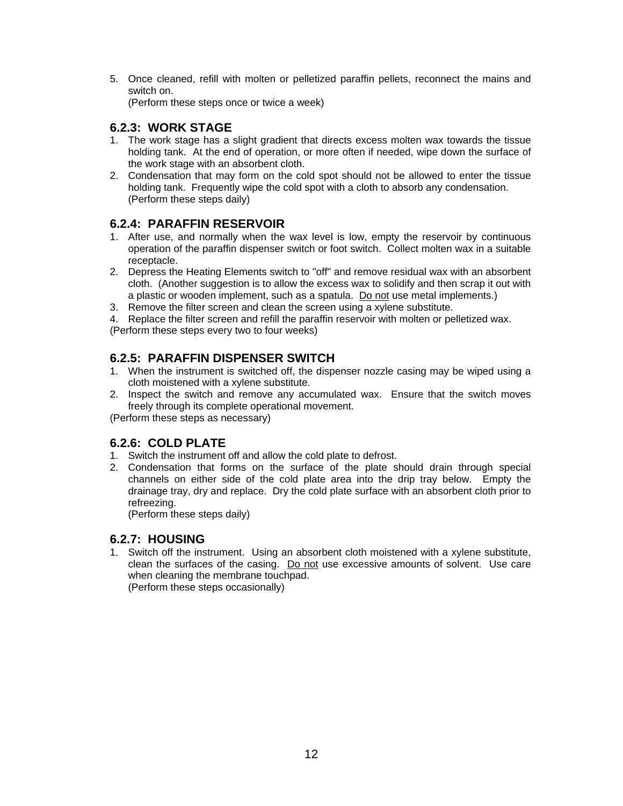<span id="page-14-0"></span>5. Once cleaned, refill with molten or pelletized paraffin pellets, reconnect the mains and switch on.

(Perform these steps once or twice a week)

# **6.2.3: WORK STAGE**

- 1. The work stage has a slight gradient that directs excess molten wax towards the tissue holding tank. At the end of operation, or more often if needed, wipe down the surface of the work stage with an absorbent cloth.
- 2. Condensation that may form on the cold spot should not be allowed to enter the tissue holding tank. Frequently wipe the cold spot with a cloth to absorb any condensation. (Perform these steps daily)

# **6.2.4: PARAFFIN RESERVOIR**

- 1. After use, and normally when the wax level is low, empty the reservoir by continuous operation of the paraffin dispenser switch or foot switch. Collect molten wax in a suitable receptacle.
- 2. Depress the Heating Elements switch to "off" and remove residual wax with an absorbent cloth. (Another suggestion is to allow the excess wax to solidify and then scrap it out with a plastic or wooden implement, such as a spatula. Do not use metal implements.)
- 3. Remove the filter screen and clean the screen using a xylene substitute.

4. Replace the filter screen and refill the paraffin reservoir with molten or pelletized wax.

(Perform these steps every two to four weeks)

# **6.2.5: PARAFFIN DISPENSER SWITCH**

- 1. When the instrument is switched off, the dispenser nozzle casing may be wiped using a cloth moistened with a xylene substitute.
- 2. Inspect the switch and remove any accumulated wax. Ensure that the switch moves freely through its complete operational movement.

(Perform these steps as necessary)

# **6.2.6: COLD PLATE**

- 1. Switch the instrument off and allow the cold plate to defrost.
- 2. Condensation that forms on the surface of the plate should drain through special channels on either side of the cold plate area into the drip tray below. Empty the drainage tray, dry and replace. Dry the cold plate surface with an absorbent cloth prior to refreezing.

(Perform these steps daily)

## **6.2.7: HOUSING**

1. Switch off the instrument. Using an absorbent cloth moistened with a xylene substitute, clean the surfaces of the casing. Do not use excessive amounts of solvent. Use care when cleaning the membrane touchpad. (Perform these steps occasionally)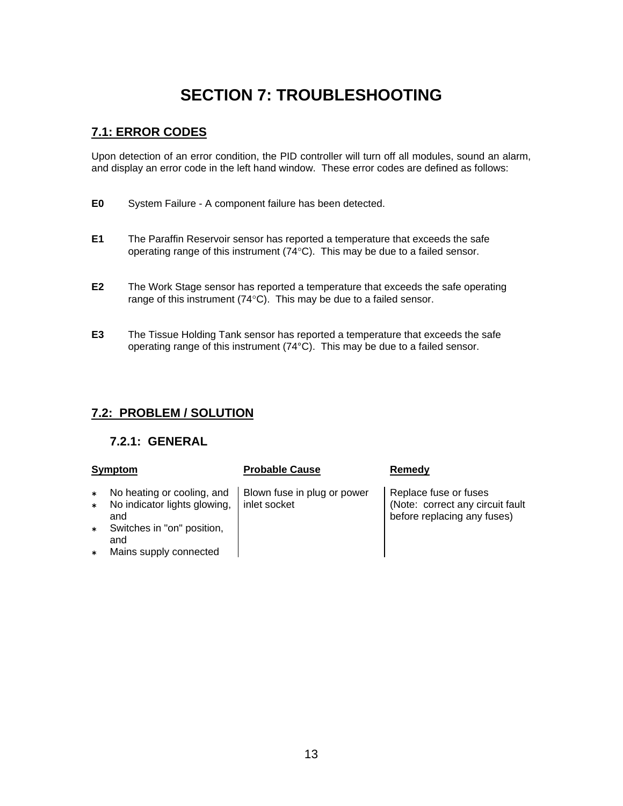# **SECTION 7: TROUBLESHOOTING**

# <span id="page-15-0"></span>**7.1: ERROR CODES**

Upon detection of an error condition, the PID controller will turn off all modules, sound an alarm, and display an error code in the left hand window. These error codes are defined as follows:

- **E0** System Failure A component failure has been detected.
- **E1** The Paraffin Reservoir sensor has reported a temperature that exceeds the safe operating range of this instrument (74°C). This may be due to a failed sensor.
- **E2** The Work Stage sensor has reported a temperature that exceeds the safe operating range of this instrument (74°C). This may be due to a failed sensor.
- **E3** The Tissue Holding Tank sensor has reported a temperature that exceeds the safe operating range of this instrument (74°C). This may be due to a failed sensor.

# **7.2: PROBLEM / SOLUTION**

# **7.2.1: GENERAL**

#### **Symptom Probable Cause Remedy**

- ¿ No heating or cooling, and
- ¿ No indicator lights glowing, and
- Switches in "on" position, and
- ¿ Mains supply connected

## Blown fuse in plug or power inlet socket

Replace fuse or fuses (Note: correct any circuit fault before replacing any fuses)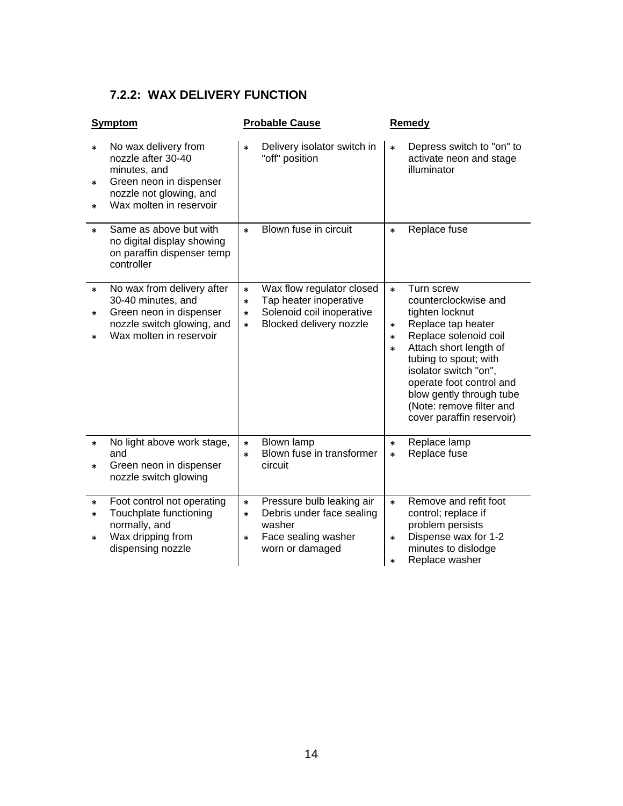# <span id="page-16-0"></span>**7.2.2: WAX DELIVERY FUNCTION**

| Symptom                                                                                                                                                                   | <b>Probable Cause</b>                                                                                                                               | Remedy                                                                                                                                                                                                                                               |
|---------------------------------------------------------------------------------------------------------------------------------------------------------------------------|-----------------------------------------------------------------------------------------------------------------------------------------------------|------------------------------------------------------------------------------------------------------------------------------------------------------------------------------------------------------------------------------------------------------|
| No wax delivery from<br>$\ast$<br>nozzle after 30-40<br>minutes, and<br>Green neon in dispenser<br>$\ast$<br>nozzle not glowing, and<br>Wax molten in reservoir<br>$\ast$ | Delivery isolator switch in<br>$\ast$<br>"off" position                                                                                             | Depress switch to "on" to<br>$\ast$<br>activate neon and stage<br>illuminator                                                                                                                                                                        |
| Same as above but with<br>$\ast$<br>no digital display showing<br>on paraffin dispenser temp<br>controller                                                                | Blown fuse in circuit<br>$\ast$                                                                                                                     | Replace fuse<br>$\ast$                                                                                                                                                                                                                               |
| No wax from delivery after<br>$\ast$<br>30-40 minutes, and<br>Green neon in dispenser<br>$\ast$<br>nozzle switch glowing, and<br>Wax molten in reservoir<br>$\ast$        | Wax flow regulator closed<br>$\ast$<br>Tap heater inoperative<br>$\ast$<br>Solenoid coil inoperative<br>$\ast$<br>Blocked delivery nozzle<br>$\ast$ | Turn screw<br>$\ast$<br>counterclockwise and<br>tighten locknut<br>Replace tap heater<br>$\ast$<br>Replace solenoid coil<br>$\ast$<br>Attach short length of<br>$\ast$<br>tubing to spout; with<br>isolator switch "on",<br>operate foot control and |
|                                                                                                                                                                           |                                                                                                                                                     | blow gently through tube<br>(Note: remove filter and<br>cover paraffin reservoir)                                                                                                                                                                    |
| No light above work stage,<br>$\ast$<br>and                                                                                                                               | <b>Blown lamp</b><br>$\ast$<br>Blown fuse in transformer<br>$\ast$                                                                                  | Replace lamp<br>$\ast$<br>Replace fuse<br>$\ast$                                                                                                                                                                                                     |
| Green neon in dispenser<br>$\ast$<br>nozzle switch glowing                                                                                                                | circuit                                                                                                                                             |                                                                                                                                                                                                                                                      |
| Foot control not operating<br>$\ast$                                                                                                                                      | Pressure bulb leaking air<br>$\ast$                                                                                                                 | Remove and refit foot<br>$\ast$                                                                                                                                                                                                                      |
| Touchplate functioning<br>$\ast$<br>normally, and                                                                                                                         | Debris under face sealing<br>$\ast$<br>washer                                                                                                       | control; replace if<br>problem persists                                                                                                                                                                                                              |
| Wax dripping from<br>$\ast$<br>dispensing nozzle                                                                                                                          | Face sealing washer<br>$\ast$<br>worn or damaged                                                                                                    | Dispense wax for 1-2<br>$\ast$<br>minutes to dislodge<br>Replace washer<br>$\ast$                                                                                                                                                                    |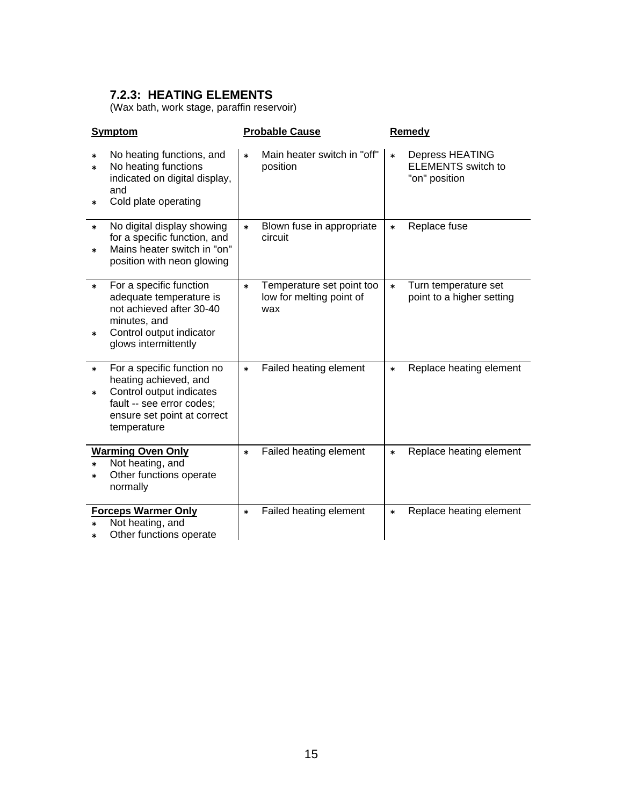# <span id="page-17-0"></span>**7.2.3: HEATING ELEMENTS**

(Wax bath, work stage, paraffin reservoir)

| <b>Symptom</b>                                                                                                                                                                 | <b>Probable Cause</b>                                                  | Remedy                                                                         |
|--------------------------------------------------------------------------------------------------------------------------------------------------------------------------------|------------------------------------------------------------------------|--------------------------------------------------------------------------------|
| No heating functions, and<br>$\ast$<br>No heating functions<br>$\ast$<br>indicated on digital display,<br>and<br>Cold plate operating<br>*                                     | Main heater switch in "off"<br>$\ast$<br>position                      | <b>Depress HEATING</b><br>$\ast$<br><b>ELEMENTS</b> switch to<br>"on" position |
| No digital display showing<br>$\ast$<br>for a specific function, and<br>Mains heater switch in "on"<br>$\ast$<br>position with neon glowing                                    | Blown fuse in appropriate<br>$\ast$<br>circuit                         | Replace fuse<br>$\ast$                                                         |
| For a specific function<br>$\ast$<br>adequate temperature is<br>not achieved after 30-40<br>minutes, and<br>Control output indicator<br>$\ast$<br>glows intermittently         | Temperature set point too<br>$\ast$<br>low for melting point of<br>wax | Turn temperature set<br>$\ast$<br>point to a higher setting                    |
| For a specific function no<br>$\ast$<br>heating achieved, and<br>Control output indicates<br>$\ast$<br>fault -- see error codes;<br>ensure set point at correct<br>temperature | Failed heating element<br>$\ast$                                       | Replace heating element<br>$\ast$                                              |
| <b>Warming Oven Only</b><br>Not heating, and<br>$\ast$<br>Other functions operate<br>$\ast$<br>normally                                                                        | Failed heating element<br>$\ast$                                       | Replace heating element<br>$\ast$                                              |
| <b>Forceps Warmer Only</b><br>Not heating, and<br>$\ast$<br>Other functions operate<br>$\ast$                                                                                  | Failed heating element<br>$\ast$                                       | Replace heating element<br>$\ast$                                              |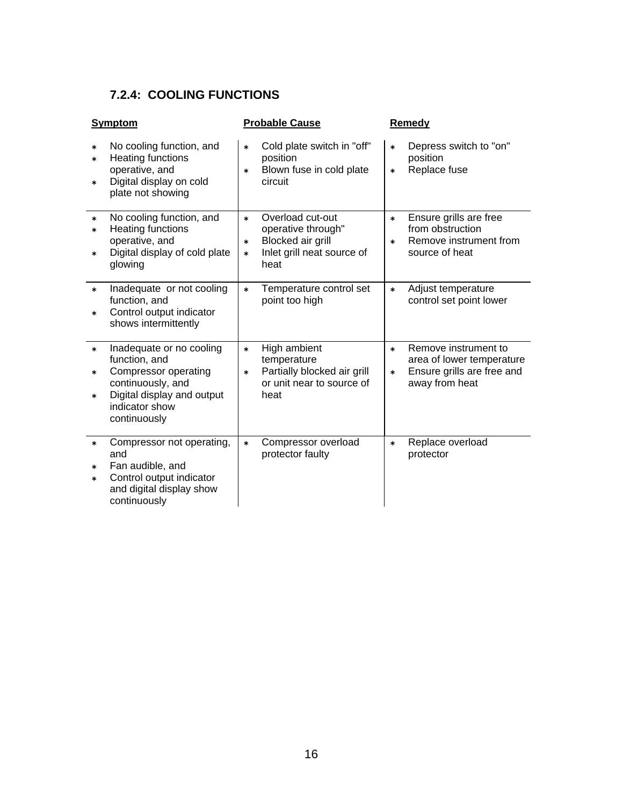# <span id="page-18-0"></span>**7.2.4: COOLING FUNCTIONS**

|                            | <b>Symptom</b>                                                                                                                                         | <b>Probable Cause</b>                                                                                                      | Remedy                                                                                                                |
|----------------------------|--------------------------------------------------------------------------------------------------------------------------------------------------------|----------------------------------------------------------------------------------------------------------------------------|-----------------------------------------------------------------------------------------------------------------------|
| $\ast$<br>$\ast$<br>$\ast$ | No cooling function, and<br><b>Heating functions</b><br>operative, and<br>Digital display on cold<br>plate not showing                                 | Cold plate switch in "off"<br>$\ast$<br>position<br>Blown fuse in cold plate<br>*<br>circuit                               | Depress switch to "on"<br>$\ast$<br>position<br>Replace fuse<br>$\ast$                                                |
| $\ast$<br>$\ast$<br>$\ast$ | No cooling function, and<br><b>Heating functions</b><br>operative, and<br>Digital display of cold plate<br>glowing                                     | Overload cut-out<br>$\ast$<br>operative through"<br>Blocked air grill<br>*<br>Inlet grill neat source of<br>$\ast$<br>heat | Ensure grills are free<br>$\ast$<br>from obstruction<br>Remove instrument from<br>$\ast$<br>source of heat            |
| $\ast$<br>$\ast$           | Inadequate or not cooling<br>function, and<br>Control output indicator<br>shows intermittently                                                         | Temperature control set<br>$\ast$<br>point too high                                                                        | Adjust temperature<br>$\ast$<br>control set point lower                                                               |
| $\ast$<br>$\ast$<br>$\ast$ | Inadequate or no cooling<br>function, and<br>Compressor operating<br>continuously, and<br>Digital display and output<br>indicator show<br>continuously | High ambient<br>$\ast$<br>temperature<br>Partially blocked air grill<br>$\ast$<br>or unit near to source of<br>heat        | Remove instrument to<br>$\ast$<br>area of lower temperature<br>Ensure grills are free and<br>$\ast$<br>away from heat |
| $\ast$<br>$\ast$<br>$\ast$ | Compressor not operating,<br>and<br>Fan audible, and<br>Control output indicator<br>and digital display show<br>continuously                           | Compressor overload<br>$\ast$<br>protector faulty                                                                          | Replace overload<br>$\ast$<br>protector                                                                               |